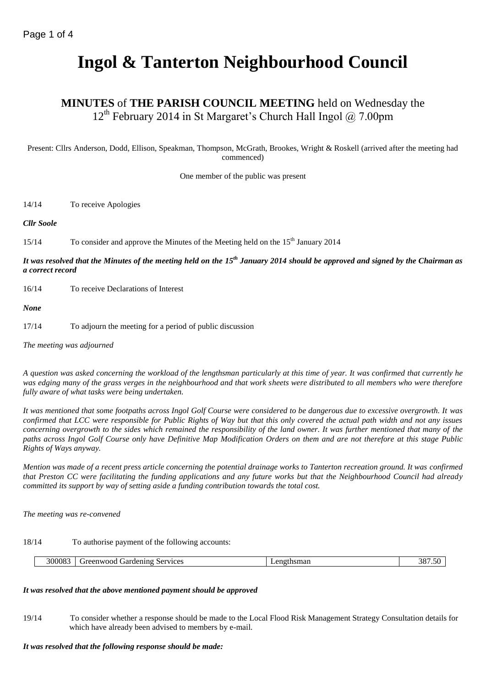# **Ingol & Tanterton Neighbourhood Council**

# **MINUTES** of **THE PARISH COUNCIL MEETING** held on Wednesday the 12<sup>th</sup> February 2014 in St Margaret's Church Hall Ingol @ 7.00pm

Present: Cllrs Anderson, Dodd, Ellison, Speakman, Thompson, McGrath, Brookes, Wright & Roskell (arrived after the meeting had commenced)

One member of the public was present

14/14 To receive Apologies

*Cllr Soole*

15/14 To consider and approve the Minutes of the Meeting held on the 15<sup>th</sup> January 2014

*It was resolved that the Minutes of the meeting held on the 15th January 2014 should be approved and signed by the Chairman as a correct record*

16/14 To receive Declarations of Interest

*None*

17/14 To adjourn the meeting for a period of public discussion

*The meeting was adjourned*

*A question was asked concerning the workload of the lengthsman particularly at this time of year. It was confirmed that currently he was edging many of the grass verges in the neighbourhood and that work sheets were distributed to all members who were therefore fully aware of what tasks were being undertaken.*

*It was mentioned that some footpaths across Ingol Golf Course were considered to be dangerous due to excessive overgrowth. It was confirmed that LCC were responsible for Public Rights of Way but that this only covered the actual path width and not any issues concerning overgrowth to the sides which remained the responsibility of the land owner. It was further mentioned that many of the paths across Ingol Golf Course only have Definitive Map Modification Orders on them and are not therefore at this stage Public Rights of Ways anyway.*

*Mention was made of a recent press article concerning the potential drainage works to Tanterton recreation ground. It was confirmed that Preston CC were facilitating the funding applications and any future works but that the Neighbourhood Council had already committed its support by way of setting aside a funding contribution towards the total cost.* 

*The meeting was re-convened*

18/14 To authorise payment of the following accounts:

|  | 300083 | Services<br>$\ldots$ rarden in $\sim$<br>reenwood<br>™ TIE⊾.<br>.<br>______<br>. | ******<br>enc<br>≅чиѕша | 387<br>. <b>.</b> ب |
|--|--------|----------------------------------------------------------------------------------|-------------------------|---------------------|
|--|--------|----------------------------------------------------------------------------------|-------------------------|---------------------|

# *It was resolved that the above mentioned payment should be approved*

19/14 To consider whether a response should be made to the Local Flood Risk Management Strategy Consultation details for which have already been advised to members by e-mail.

## *It was resolved that the following response should be made:*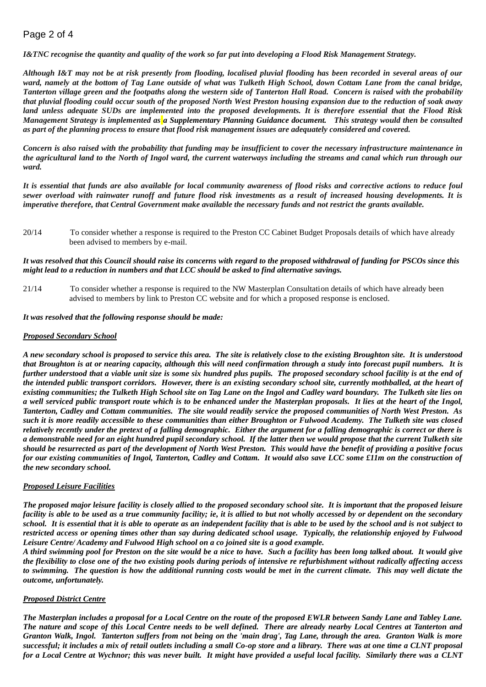# Page 2 of 4

*I&TNC recognise the quantity and quality of the work so far put into developing a Flood Risk Management Strategy.*

*Although I&T may not be at risk presently from flooding, localised pluvial flooding has been recorded in several areas of our ward, namely at the bottom of Tag Lane outside of what was Tulketh High School, down Cottam Lane from the canal bridge, Tanterton village green and the footpaths along the western side of Tanterton Hall Road. Concern is raised with the probability that pluvial flooding could occur south of the proposed North West Preston housing expansion due to the reduction of soak away land unless adequate SUDs are implemented into the proposed developments. It is therefore essential that the Flood Risk Management Strategy is implemented as a Supplementary Planning Guidance document. This strategy would then be consulted as part of the planning process to ensure that flood risk management issues are adequately considered and covered.* 

*Concern is also raised with the probability that funding may be insufficient to cover the necessary infrastructure maintenance in the agricultural land to the North of Ingol ward, the current waterways including the streams and canal which run through our ward.*

*It is essential that funds are also available for local community awareness of flood risks and corrective actions to reduce foul sewer overload with rainwater runoff and future flood risk investments as a result of increased housing developments. It is imperative therefore, that Central Government make available the necessary funds and not restrict the grants available.* 

20/14 To consider whether a response is required to the Preston CC Cabinet Budget Proposals details of which have already been advised to members by e-mail.

#### *It was resolved that this Council should raise its concerns with regard to the proposed withdrawal of funding for PSCOs since this might lead to a reduction in numbers and that LCC should be asked to find alternative savings.*

21/14 To consider whether a response is required to the NW Masterplan Consultation details of which have already been advised to members by link to Preston CC website and for which a proposed response is enclosed.

*It was resolved that the following response should be made:*

#### *Proposed Secondary School*

*A new secondary school is proposed to service this area. The site is relatively close to the existing Broughton site. It is understood that Broughton is at or nearing capacity, although this will need confirmation through a study into forecast pupil numbers. It is further understood that a viable unit size is some six hundred plus pupils. The proposed secondary school facility is at the end of the intended public transport corridors. However, there is an existing secondary school site, currently mothballed, at the heart of existing communities; the Tulketh High School site on Tag Lane on the Ingol and Cadley ward boundary. The Tulketh site lies on a well serviced public transport route which is to be enhanced under the Masterplan proposals. It lies at the heart of the Ingol, Tanterton, Cadley and Cottam communities. The site would readily service the proposed communities of North West Preston. As such it is more readily accessible to these communities than either Broughton or Fulwood Academy. The Tulketh site was closed relatively recently under the pretext of a falling demographic. Either the argument for a falling demographic is correct or there is a demonstrable need for an eight hundred pupil secondary school. If the latter then we would propose that the current Tulketh site should be resurrected as part of the development of North West Preston. This would have the benefit of providing a positive focus for our existing communities of Ingol, Tanterton, Cadley and Cottam. It would also save LCC some £11m on the construction of the new secondary school.*

## *Proposed Leisure Facilities*

*The proposed major leisure facility is closely allied to the proposed secondary school site. It is important that the proposed leisure facility is able to be used as a true community facility; ie, it is allied to but not wholly accessed by or dependent on the secondary school. It is essential that it is able to operate as an independent facility that is able to be used by the school and is not subject to restricted access or opening times other than say during dedicated school usage. Typically, the relationship enjoyed by Fulwood Leisure Centre/ Academy and Fulwood High school on a co joined site is a good example.*

*A third swimming pool for Preston on the site would be a nice to have. Such a facility has been long talked about. It would give the flexibility to close one of the two existing pools during periods of intensive re refurbishment without radically affecting access to swimming. The question is how the additional running costs would be met in the current climate. This may well dictate the outcome, unfortunately.*

## *Proposed District Centre*

*The Masterplan includes a proposal for a Local Centre on the route of the proposed EWLR between Sandy Lane and Tabley Lane. The nature and scope of this Local Centre needs to be well defined. There are already nearby Local Centres at Tanterton and Granton Walk, Ingol. Tanterton suffers from not being on the 'main drag', Tag Lane, through the area. Granton Walk is more successful; it includes a mix of retail outlets including a small Co-op store and a library. There was at one time a CLNT proposal for a Local Centre at Wychnor; this was never built. It might have provided a useful local facility. Similarly there was a CLNT*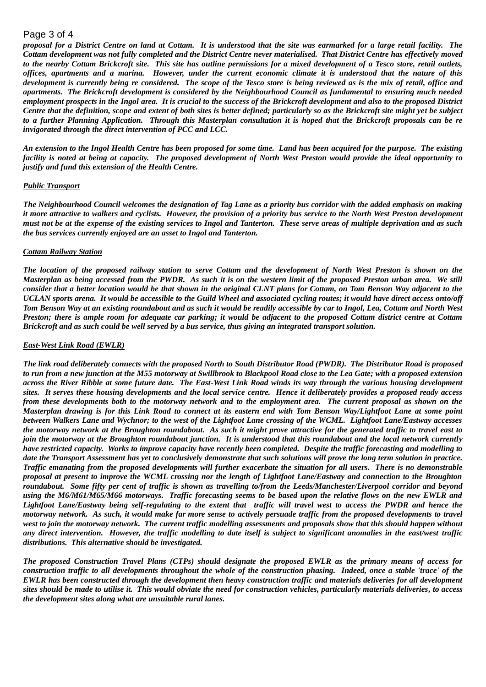## Page 3 of 4

*proposal for a District Centre on land at Cottam. It is understood that the site was earmarked for a large retail facility. The Cottam development was not fully completed and the District Centre never materialised. That District Centre has effectively moved to the nearby Cottam Brickcroft site. This site has outline permissions for a mixed development of a Tesco store, retail outlets, offices, apartments and a marina. However, under the current economic climate it is understood that the nature of this development is currently being re considered. The scope of the Tesco store is being reviewed as is the mix of retail, office and apartments. The Brickcroft development is considered by the Neighbourhood Council as fundamental to ensuring much needed employment prospects in the Ingol area. It is crucial to the success of the Brickcroft development and also to the proposed District Centre that the definition, scope and extent of both sites is better defined; particularly so as the Brickcroft site might yet be subject to a further Planning Application. Through this Masterplan consultation it is hoped that the Brickcroft proposals can be re invigorated through the direct intervention of PCC and LCC.*

*An extension to the Ingol Health Centre has been proposed for some time. Land has been acquired for the purpose. The existing facility is noted at being at capacity. The proposed development of North West Preston would provide the ideal opportunity to justify and fund this extension of the Health Centre.*

#### *Public Transport*

*The Neighbourhood Council welcomes the designation of Tag Lane as a priority bus corridor with the added emphasis on making it more attractive to walkers and cyclists. However, the provision of a priority bus service to the North West Preston development must not be at the expense of the existing services to Ingol and Tanterton. These serve areas of multiple deprivation and as such the bus services currently enjoyed are an asset to Ingol and Tanterton.*

#### *Cottam Railway Station*

*The location of the proposed railway station to serve Cottam and the development of North West Preston is shown on the Masterplan as being accessed from the PWDR. As such it is on the western limit of the proposed Preston urban area. We still consider that a better location would be that shown in the original CLNT plans for Cottam, on Tom Benson Way adjacent to the UCLAN sports arena. It would be accessible to the Guild Wheel and associated cycling routes; it would have direct access onto/off Tom Benson Way at an existing roundabout and as such it would be readily accessible by car to Ingol, Lea, Cottam and North West Preston; there is ample room for adequate car parking; it would be adjacent to the proposed Cottam district centre at Cottam Brickcroft and as such could be well served by a bus service, thus giving an integrated transport solution.*

#### *East-West Link Road (EWLR)*

*The link road deliberately connects with the proposed North to South Distributor Road (PWDR). The Distributor Road is proposed to run from a new junction at the M55 motorway at Swillbrook to Blackpool Road close to the Lea Gate; with a proposed extension across the River Ribble at some future date. The East-West Link Road winds its way through the various housing development sites. It serves these housing developments and the local service centre. Hence it deliberately provides a proposed ready access from these developments both to the motorway network and to the employment area. The current proposal as shown on the Masterplan drawing is for this Link Road to connect at its eastern end with Tom Benson Way/Lightfoot Lane at some point between Walkers Lane and Wychnor; to the west of the Lightfoot Lane crossing of the WCML. Lightfoot Lane/Eastway accesses the motorway network at the Broughton roundabout. As such it might prove attractive for the generated traffic to travel east to join the motorway at the Broughton roundabout junction. It is understood that this roundabout and the local network currently have restricted capacity. Works to improve capacity have recently been completed. Despite the traffic forecasting and modelling to date the Transport Assessment has yet to conclusively demonstrate that such solutions will prove the long term solution in practice. Traffic emanating from the proposed developments will further exacerbate the situation for all users. There is no demonstrable proposal at present to improve the WCML crossing nor the length of Lightfoot Lane/Eastway and connection to the Broughton roundabout. Some fifty per cent of traffic is shown as travelling to/from the Leeds/Manchester/Liverpool corridor and beyond using the M6/M61/M65/M66 motorways. Traffic forecasting seems to be based upon the relative flows on the new EWLR and Lightfoot Lane/Eastway being self-regulating to the extent that traffic will travel west to access the PWDR and hence the motorway network. As such, it would make far more sense to actively persuade traffic from the proposed developments to travel west to join the motorway network. The current traffic modelling assessments and proposals show that this should happen without any direct intervention. However, the traffic modelling to date itself is subject to significant anomalies in the east/west traffic distributions. This alternative should be investigated.* 

*The proposed Construction Travel Plans (CTPs) should designate the proposed EWLR as the primary means of access for construction traffic to all developments throughout the whole of the construction phasing. Indeed, once a stable 'trace' of the EWLR has been constructed through the development then heavy construction traffic and materials deliveries for all development sites should be made to utilise it. This would obviate the need for construction vehicles, particularly materials deliveries, to access the development sites along what are unsuitable rural lanes.*